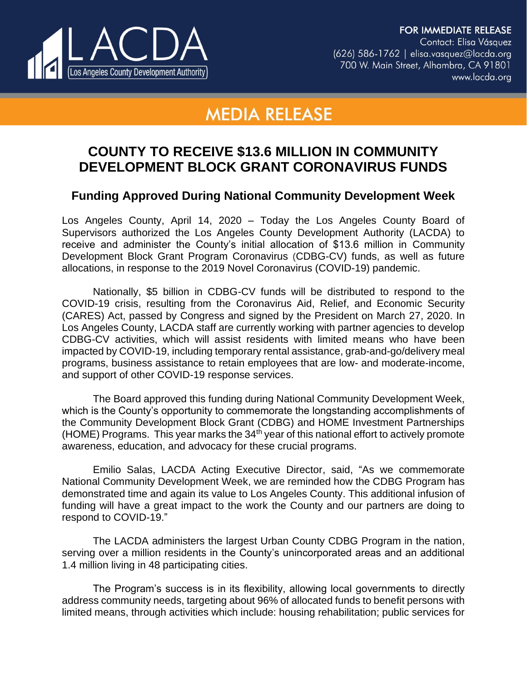**FOR IMMEDIATE RELEASE** Contact: Elisa Vásquez  $(626)$  586-1762 | elisa.vasquez@lacda.org 700 W. Main Street, Alhambra, CA 91801 www.lacda.org



## **MEDIA RELEASE**

## **COUNTY TO RECEIVE \$13.6 MILLION IN COMMUNITY DEVELOPMENT BLOCK GRANT CORONAVIRUS FUNDS**

## **Funding Approved During National Community Development Week**

Los Angeles County, April 14, 2020 – Today the Los Angeles County Board of Supervisors authorized the Los Angeles County Development Authority (LACDA) to receive and administer the County's initial allocation of \$13.6 million in Community Development Block Grant Program Coronavirus (CDBG-CV) funds, as well as future allocations, in response to the 2019 Novel Coronavirus (COVID-19) pandemic.

Nationally, \$5 billion in CDBG-CV funds will be distributed to respond to the COVID-19 crisis, resulting from the Coronavirus Aid, Relief, and Economic Security (CARES) Act, passed by Congress and signed by the President on March 27, 2020. In Los Angeles County, LACDA staff are currently working with partner agencies to develop CDBG-CV activities, which will assist residents with limited means who have been impacted by COVID-19, including temporary rental assistance, grab-and-go/delivery meal programs, business assistance to retain employees that are low- and moderate-income, and support of other COVID-19 response services.

The Board approved this funding during National Community Development Week, which is the County's opportunity to commemorate the longstanding accomplishments of the Community Development Block Grant (CDBG) and HOME Investment Partnerships (HOME) Programs. This year marks the  $34<sup>th</sup>$  year of this national effort to actively promote awareness, education, and advocacy for these crucial programs.

Emilio Salas, LACDA Acting Executive Director, said, "As we commemorate National Community Development Week, we are reminded how the CDBG Program has demonstrated time and again its value to Los Angeles County. This additional infusion of funding will have a great impact to the work the County and our partners are doing to respond to COVID-19."

The LACDA administers the largest Urban County CDBG Program in the nation, serving over a million residents in the County's unincorporated areas and an additional 1.4 million living in 48 participating cities.

The Program's success is in its flexibility, allowing local governments to directly address community needs, targeting about 96% of allocated funds to benefit persons with limited means, through activities which include: housing rehabilitation; public services for